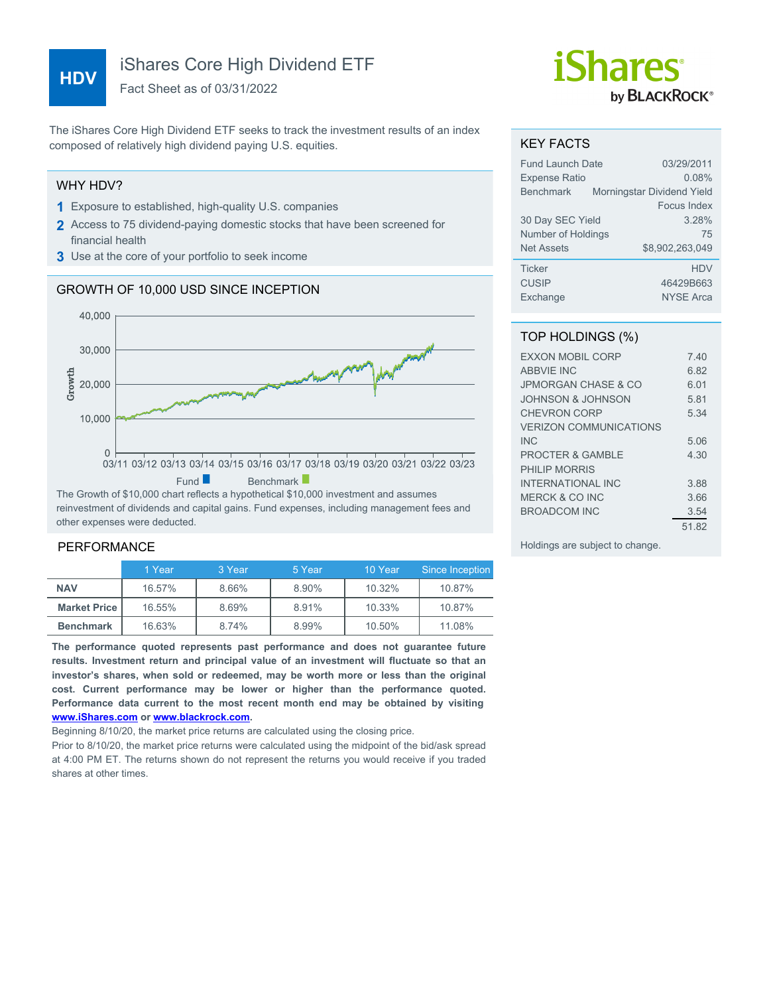# **HDV**

# iShares Core High Dividend ETF

Fact Sheet as of 03/31/2022

The iShares Core High Dividend ETF seeks to track the investment results of an index composed of relatively high dividend paying U.S. equities.

### WHY HDV?

- **1** Exposure to established, high-quality U.S. companies
- **2** Access to 75 dividend-paying domestic stocks that have been screened for financial health
- **3** Use at the core of your portfolio to seek income

## GROWTH OF 10,000 USD SINCE INCEPTION



reinvestment of dividends and capital gains. Fund expenses, including management fees and other expenses were deducted.

## PERFORMANCE

|                     | 1 Year | 3 Year | 5 Year | 10 Year | Since Inception |
|---------------------|--------|--------|--------|---------|-----------------|
| <b>NAV</b>          | 16.57% | 8.66%  | 8.90%  | 10.32%  | 10.87%          |
| <b>Market Price</b> | 16.55% | 8.69%  | 8.91%  | 10.33%  | 10.87%          |
| <b>Benchmark</b>    | 16.63% | 8.74%  | 8.99%  | 10.50%  | 11.08%          |

**The performance quoted represents past performance and does not guarantee future results. Investment return and principal value of an investment will fluctuate so that an investor's shares, when sold or redeemed, may be worth more or less than the original cost. Current performance may be lower or higher than the performance quoted. Performance data current to the most recent month end may be obtained by visiting [www.iShares.com](http://www.iShares.com) or [www.blackrock.com](http://www.blackrock.com).**

Beginning 8/10/20, the market price returns are calculated using the closing price.

Prior to 8/10/20, the market price returns were calculated using the midpoint of the bid/ask spread at 4:00 PM ET. The returns shown do not represent the returns you would receive if you traded shares at other times.

# *iShares* by **BLACKROCK**®

#### KEY FACTS

| <b>Fund Launch Date</b> | 03/29/2011                 |
|-------------------------|----------------------------|
| <b>Expense Ratio</b>    | 0.08%                      |
| <b>Benchmark</b>        | Morningstar Dividend Yield |
|                         | Focus Index                |
| 30 Day SEC Yield        | 3.28%                      |
| Number of Holdings      | 75                         |
| <b>Net Assets</b>       | \$8.902.263.049            |
| <b>Ticker</b>           | <b>HDV</b>                 |
| <b>CUSIP</b>            | 46429B663                  |
| Exchange                | <b>NYSE Arca</b>           |

#### TOP HOLDINGS (%)

| <b>FXXON MOBIL CORP</b>        | 7 40  |
|--------------------------------|-------|
| <b>ABBVIE INC</b>              | 6.82  |
| <b>JPMORGAN CHASE &amp; CO</b> | 6 01  |
| JOHNSON & JOHNSON              | 5.81  |
| <b>CHEVRON CORP</b>            | 5 34  |
| <b>VERIZON COMMUNICATIONS</b>  |       |
| IN <sub>C</sub>                | 5.06  |
| <b>PROCTER &amp; GAMBLE</b>    | 4.30  |
| PHILIP MORRIS                  |       |
| INTERNATIONAL INC              | 3.88  |
| MERCK & CO INC                 | 3.66  |
| BROADCOM INC                   | 3.54  |
|                                | 51.82 |

Holdings are subject to change.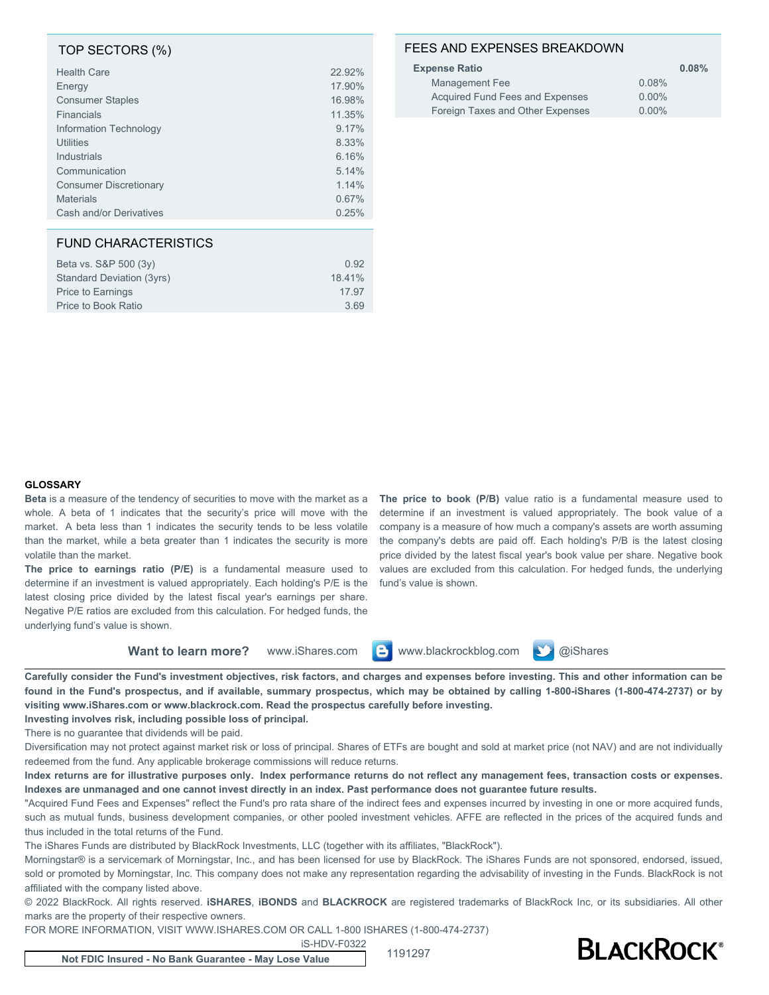#### TOP SECTORS (%)

| <b>Health Care</b>            | 22.92% |
|-------------------------------|--------|
| Energy                        | 17.90% |
| <b>Consumer Staples</b>       | 16.98% |
| <b>Financials</b>             | 11.35% |
| Information Technology        | 9.17%  |
| <b>Utilities</b>              | 8.33%  |
| Industrials                   | 6.16%  |
| Communication                 | 5.14%  |
| <b>Consumer Discretionary</b> | 1.14%  |
| <b>Materials</b>              | 0.67%  |
| Cash and/or Derivatives       | 0.25%  |

#### FUND CHARACTERISTICS

| Beta vs. S&P 500 (3y)     | 0.92   |
|---------------------------|--------|
| Standard Deviation (3yrs) | 18.41% |
| <b>Price to Earnings</b>  | 17.97  |
| Price to Book Ratio       | 369    |

#### FEES AND EXPENSES BREAKDOWN

| <b>Expense Ratio</b>             | 0.08%    |
|----------------------------------|----------|
| Management Fee                   | 0.08%    |
| Acquired Fund Fees and Expenses  | $0.00\%$ |
| Foreign Taxes and Other Expenses | $0.00\%$ |

#### **GLOSSARY**

**Beta** is a measure of the tendency of securities to move with the market as a whole. A beta of 1 indicates that the security's price will move with the market. A beta less than 1 indicates the security tends to be less volatile than the market, while a beta greater than 1 indicates the security is more volatile than the market.

**The price to earnings ratio (P/E)** is a fundamental measure used to determine if an investment is valued appropriately. Each holding's P/E is the latest closing price divided by the latest fiscal year's earnings per share. Negative P/E ratios are excluded from this calculation. For hedged funds, the underlying fund's value is shown.

**The price to book (P/B)** value ratio is a fundamental measure used to determine if an investment is valued appropriately. The book value of a company is a measure of how much a company's assets are worth assuming the company's debts are paid off. Each holding's P/B is the latest closing price divided by the latest fiscal year's book value per share. Negative book values are excluded from this calculation. For hedged funds, the underlying fund's value is shown.

**Want to learn more?** www.iShares.com **C** www.blackrockblog.com **N** @iShares



**Carefully consider the Fund's investment objectives, risk factors, and charges and expenses before investing. This and other information can be found in the Fund's prospectus, and if available, summary prospectus, which may be obtained by calling 1-800-iShares (1-800-474-2737) or by visiting www.iShares.com or www.blackrock.com. Read the prospectus carefully before investing.**

**Investing involves risk, including possible loss of principal.** There is no guarantee that dividends will be paid.

Diversification may not protect against market risk or loss of principal. Shares of ETFs are bought and sold at market price (not NAV) and are not individually redeemed from the fund. Any applicable brokerage commissions will reduce returns.

**Index returns are for illustrative purposes only. Index performance returns do not reflect any management fees, transaction costs or expenses. Indexes are unmanaged and one cannot invest directly in an index. Past performance does not guarantee future results.**

"Acquired Fund Fees and Expenses" reflect the Fund's pro rata share of the indirect fees and expenses incurred by investing in one or more acquired funds, such as mutual funds, business development companies, or other pooled investment vehicles. AFFE are reflected in the prices of the acquired funds and thus included in the total returns of the Fund.

The iShares Funds are distributed by BlackRock Investments, LLC (together with its affiliates, "BlackRock").

Morningstar® is a servicemark of Morningstar, Inc., and has been licensed for use by BlackRock. The iShares Funds are not sponsored, endorsed, issued, sold or promoted by Morningstar, Inc. This company does not make any representation regarding the advisability of investing in the Funds. BlackRock is not affiliated with the company listed above.

© 2022 BlackRock. All rights reserved. **iSHARES**, **iBONDS** and **BLACKROCK** are registered trademarks of BlackRock Inc, or its subsidiaries. All other marks are the property of their respective owners.

FOR MORE INFORMATION, VISIT WWW.ISHARES.COM OR CALL 1-800 ISHARES (1-800-474-2737)

iS-HDV-F0322

**Not FDIC Insured - No Bank Guarantee - May Lose Value** 1191297